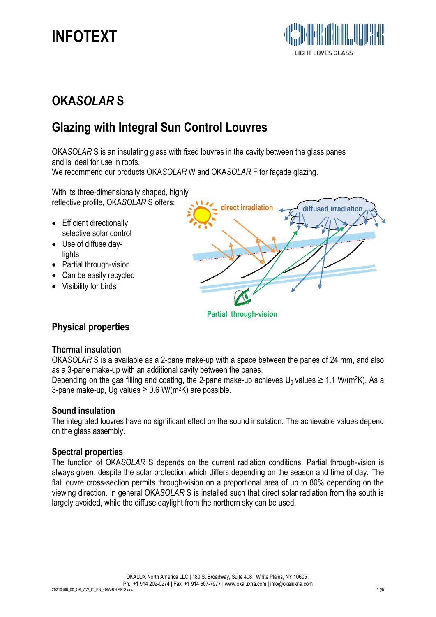

## **OKA***SOLAR* **S**

## **Glazing with Integral Sun Control Louvres**

OKASOLAR<sub>I</sub>S is an insulating glass with fixed louvres in the cavity between the glass panes and is ideal for use in roofs. We recommend our products OKA*SOLAR* W and OKA*SOLAR* F for façade glazing.

With its three-dimensionally shaped, highly reflective profile, OKA*SOLAR* S offers:

- Efficient directionally selective solar control
- Use of diffuse daylights
- Partial through-vision
- Can be easily recycled
- Visibility for birds



**Partial through-vision**

## **Physical properties**

### **Thermal insulation**

OKA*SOLAR* S is a available as a 2-pane make-up with a space between the panes of 24 mm, and also as a 3-pane make-up with an additional cavity between the panes.

Depending on the gas filling and coating, the 2-pane make-up achieves  $U_q$  values ≥ 1.1 W/(m<sup>2</sup>K). As a 3-pane make-up. Ug values  $\geq 0.6$  W/(m<sup>2</sup>K) are possible.

## **Sound insulation**

The integrated louvres have no significant effect on the sound insulation. The achievable values depend on the glass assembly.

## **Spectral properties**

The function of OKA*SOLAR* S depends on the current radiation conditions. Partial through-vision is always given, despite the solar protection which differs depending on the season and time of day. The flat louvre cross-section permits through-vision on a proportional area of up to 80% depending on the viewing direction. In general OKA*SOLAR* S is installed such that direct solar radiation from the south is largely avoided, while the diffuse daylight from the northern sky can be used.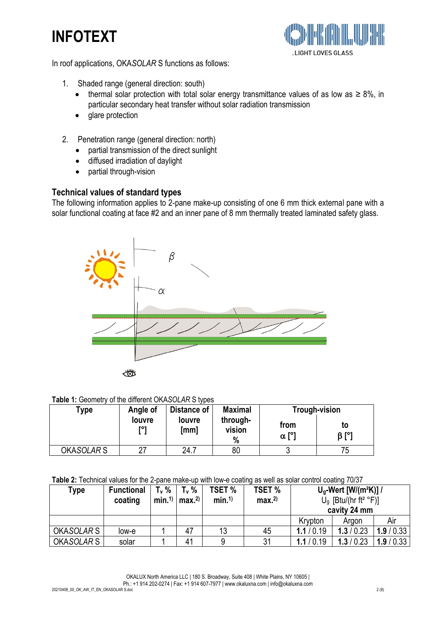

In roof applications, OKA*SOLAR* S functions as follows:

- 1. Shaded range (general direction: south)
	- thermal solar protection with total solar energy transmittance values of as low as ≥ 8%, in particular secondary heat transfer without solar radiation transmission
	- glare protection
- 2. Penetration range (general direction: north)
	- partial transmission of the direct sunlight
	- diffused irradiation of daylight
	- partial through-vision

### **Technical values of standard types**

The following information applies to 2-pane make-up consisting of one 6 mm thick external pane with a solar functional coating at face #2 and an inner pane of 8 mm thermally treated laminated safety glass.



#### **Table 1:** Geometry of the different OKA*SOLAR* S types

| Type                  | Angle of             | Distance of    | <b>Maximal</b>             | <b>Trough-vision</b> |                   |
|-----------------------|----------------------|----------------|----------------------------|----------------------|-------------------|
|                       | <b>louvre</b><br>roı | louvre<br>[mm] | through-<br>vision<br>$\%$ | from<br>$\alpha$ [°] | to<br>$\beta$ [°] |
| OKASOLAR <sub>S</sub> | 27                   | 24.7           | 80                         |                      | / 5               |

**Table 2:** Technical values for the 2-pane make-up with low-e coating as well as solar control coating 70/37

| Type                  | <b>Functional</b><br>coating | Tv %<br>min.1 | %<br>l v<br>$\vert$ max. <sup>2)</sup> | TSET %<br>min <sub>1</sub> | <b>TSET %</b><br>$max1$ <sup>2)</sup> |          | $U_q$ -Wert [W/(m <sup>2</sup> K)] /<br>$U_q$ [Btu/(hr ft <sup>2</sup> °F)]<br>cavity 24 mm |          |
|-----------------------|------------------------------|---------------|----------------------------------------|----------------------------|---------------------------------------|----------|---------------------------------------------------------------------------------------------|----------|
|                       |                              |               |                                        |                            |                                       | Krypton  | Araon                                                                                       | Air      |
| OKASOLAR <sub>S</sub> | low-e                        |               | 47                                     | 13                         | 45                                    | 1.1/0.19 | 1.3/0.23                                                                                    | 1.9/0.33 |
| OKASOLAR <sub>S</sub> | solar                        |               | 4 <sup>1</sup>                         |                            | 31                                    | 1.1/0.19 | 1.3/0.23                                                                                    | 1.9/0.33 |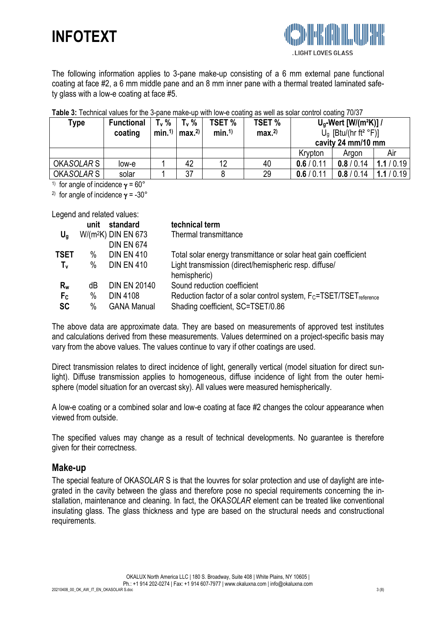



The following information applies to 3-pane make-up consisting of a 6 mm external pane functional coating at face #2, a 6 mm middle pane and an 8 mm inner pane with a thermal treated laminated safety glass with a low-e coating at face #5.

| Type                  | <b>Functional</b><br>coating | T <sub>v</sub> %<br>min.1 | $\%$<br>$T_{\rm v}$<br>max <sub>2</sub> | <b>TSET %</b><br>min <sub>1</sub> | <b>TSET %</b><br>$max1$ <sup>2)</sup> |          | $U_q$ -Wert [W/(m <sup>2</sup> K)] /<br>$U_q$ [Btu/(hr ft <sup>2</sup> °F)] |          |
|-----------------------|------------------------------|---------------------------|-----------------------------------------|-----------------------------------|---------------------------------------|----------|-----------------------------------------------------------------------------|----------|
|                       |                              |                           |                                         |                                   |                                       | Krypton  | cavity 24 mm/10 mm<br>Araon                                                 | Air      |
| OKASOLAR <sub>S</sub> | $low-e$                      |                           | 42                                      | 12                                | 40                                    | 0.6/0.11 | 0.8/0.14                                                                    | 1.1/0.19 |
| OKASOLAR S            | solar                        |                           | 37                                      |                                   | 29                                    | 0.6/0.11 | 0.8/0.14                                                                    | 1.1/0.19 |

**Table 3:** Technical values for the 3-pane make-up with low-e coating as well as solar control coating 70/37

<sup>1)</sup> for angle of incidence  $y = 60^\circ$ 

Legend and related values:

<sup>2)</sup> for angle of incidence  $\gamma = -30^{\circ}$ 

|                |      | LGYGHU AHU IGIAIGU VAIUGS. |                                                                                            |
|----------------|------|----------------------------|--------------------------------------------------------------------------------------------|
|                | unit | standard                   | technical term                                                                             |
| $U_q$          |      | $W/(m^2K)$ DIN EN 673      | Thermal transmittance                                                                      |
|                |      | <b>DIN EN 674</b>          |                                                                                            |
| <b>TSET</b>    | %    | <b>DIN EN 410</b>          | Total solar energy transmittance or solar heat gain coefficient                            |
| $T_{\nu}$      | $\%$ | <b>DIN EN 410</b>          | Light transmission (direct/hemispheric resp. diffuse/<br>hemispheric)                      |
| $R_{w}$        | dB   | <b>DIN EN 20140</b>        | Sound reduction coefficient                                                                |
| F <sub>c</sub> | $\%$ | <b>DIN 4108</b>            | Reduction factor of a solar control system, F <sub>C</sub> =TSET/TSET <sub>reference</sub> |
| <b>SC</b>      | $\%$ | <b>GANA Manual</b>         | Shading coefficient, SC=TSET/0.86                                                          |

The above data are approximate data. They are based on measurements of approved test institutes and calculations derived from these measurements. Values determined on a project-specific basis may vary from the above values. The values continue to vary if other coatings are used.

Direct transmission relates to direct incidence of light, generally vertical (model situation for direct sunlight). Diffuse transmission applies to homogeneous, diffuse incidence of light from the outer hemisphere (model situation for an overcast sky). All values were measured hemispherically.

A low-e coating or a combined solar and low-e coating at face #2 changes the colour appearance when viewed from outside.

The specified values may change as a result of technical developments. No guarantee is therefore given for their correctness.

### **Make-up**

The special feature of OKA*SOLAR* S is that the louvres for solar protection and use of daylight are integrated in the cavity between the glass and therefore pose no special requirements concerning the installation, maintenance and cleaning. In fact, the OKA*SOLAR* element can be treated like conventional insulating glass. The glass thickness and type are based on the structural needs and constructional requirements.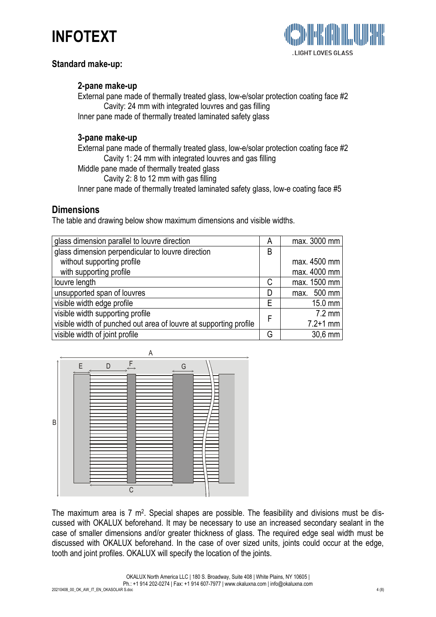



### **Standard make-up:**

### **2-pane make-up**

External pane made of thermally treated glass, low-e/solar protection coating face #2 Cavity: 24 mm with integrated louvres and gas filling Inner pane made of thermally treated laminated safety glass

### **3-pane make-up**

External pane made of thermally treated glass, low-e/solar protection coating face #2 Cavity 1: 24 mm with integrated louvres and gas filling

Middle pane made of thermally treated glass

Cavity 2: 8 to 12 mm with gas filling

Inner pane made of thermally treated laminated safety glass, low-e coating face #5

## **Dimensions**

The table and drawing below show maximum dimensions and visible widths.

| glass dimension parallel to louvre direction                      | А | max. 3000 mm     |
|-------------------------------------------------------------------|---|------------------|
| glass dimension perpendicular to louvre direction                 | B |                  |
| without supporting profile                                        |   | max. 4500 mm     |
| with supporting profile                                           |   | max. 4000 mm     |
| louvre length                                                     | C | max. 1500 mm     |
| unsupported span of louvres                                       | D | max. 500 mm      |
| visible width edge profile                                        | E | 15.0 mm          |
| visible width supporting profile                                  | F | $7.2 \text{ mm}$ |
| visible width of punched out area of louvre at supporting profile |   | $7.2 + 1$ mm     |
| visible width of joint profile                                    | G | 30,6 mm          |



The maximum area is  $7 \text{ m}^2$ . Special shapes are possible. The feasibility and divisions must be discussed with OKALUX beforehand. It may be necessary to use an increased secondary sealant in the case of smaller dimensions and/or greater thickness of glass. The required edge seal width must be discussed with OKALUX beforehand. In the case of over sized units, joints could occur at the edge, tooth and joint profiles. OKALUX will specify the location of the joints.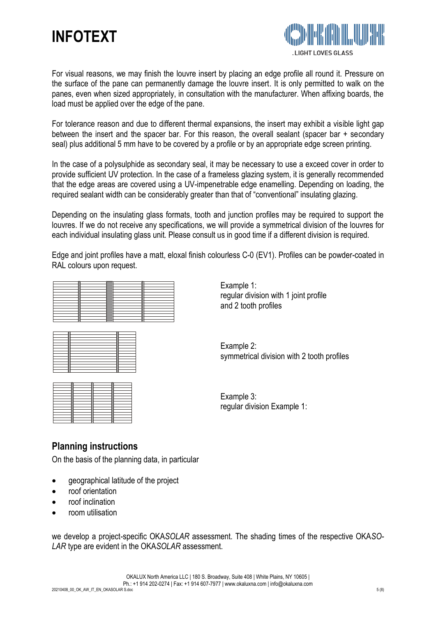

For visual reasons, we may finish the louvre insert by placing an edge profile all round it. Pressure on the surface of the pane can permanently damage the louvre insert. It is only permitted to walk on the panes, even when sized appropriately, in consultation with the manufacturer. When affixing boards, the load must be applied over the edge of the pane.

For tolerance reason and due to different thermal expansions, the insert may exhibit a visible light gap between the insert and the spacer bar. For this reason, the overall sealant (spacer bar + secondary seal) plus additional 5 mm have to be covered by a profile or by an appropriate edge screen printing.

In the case of a polysulphide as secondary seal, it may be necessary to use a exceed cover in order to provide sufficient UV protection. In the case of a frameless glazing system, it is generally recommended that the edge areas are covered using a UV-impenetrable edge enamelling. Depending on loading, the required sealant width can be considerably greater than that of "conventional" insulating glazing.

Depending on the insulating glass formats, tooth and junction profiles may be required to support the louvres. If we do not receive any specifications, we will provide a symmetrical division of the louvres for each individual insulating glass unit. Please consult us in good time if a different division is required.

Edge and joint profiles have a matt, eloxal finish colourless C-0 (EV1). Profiles can be powder-coated in RAL colours upon request.

Example 1: regular division with 1 joint profile and 2 tooth profiles

Example 2: symmetrical division with 2 tooth profiles

Example 3: regular division Example 1:

## **Planning instructions**

On the basis of the planning data, in particular

- geographical latitude of the project
- roof orientation
- roof inclination
- room utilisation

we develop a project-specific OKA*SOLAR* assessment. The shading times of the respective OKA*SO-LAR* type are evident in the OKA*SOLAR* assessment.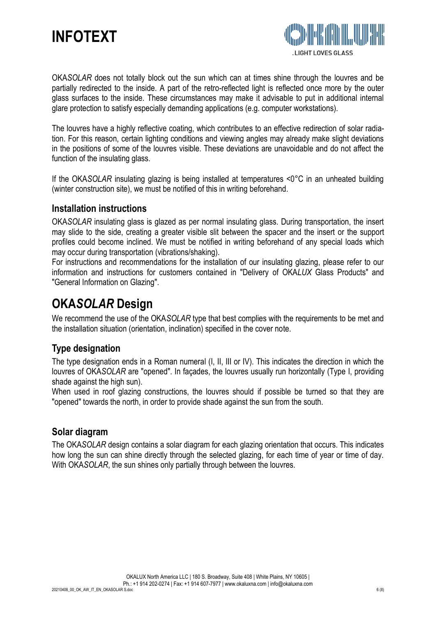OKA*SOLAR* does not totally block out the sun which can at times shine through the louvres and be partially redirected to the inside. A part of the retro-reflected light is reflected once more by the outer glass surfaces to the inside. These circumstances may make it advisable to put in additional internal glare protection to satisfy especially demanding applications (e.g. computer workstations).

The louvres have a highly reflective coating, which contributes to an effective redirection of solar radiation. For this reason, certain lighting conditions and viewing angles may already make slight deviations in the positions of some of the louvres visible. These deviations are unavoidable and do not affect the function of the insulating glass.

If the OKA*SOLAR* insulating glazing is being installed at temperatures <0°C in an unheated building (winter construction site), we must be notified of this in writing beforehand.

## **Installation instructions**

OKA*SOLAR* insulating glass is glazed as per normal insulating glass. During transportation, the insert may slide to the side, creating a greater visible slit between the spacer and the insert or the support profiles could become inclined. We must be notified in writing beforehand of any special loads which may occur during transportation (vibrations/shaking).

For instructions and recommendations for the installation of our insulating glazing, please refer to our information and instructions for customers contained in "Delivery of OKA*LUX* Glass Products" and "General Information on Glazing".

## **OKA***SOLAR* **Design**

We recommend the use of the OKA*SOLAR* type that best complies with the requirements to be met and the installation situation (orientation, inclination) specified in the cover note.

## **Type designation**

The type designation ends in a Roman numeral (I, II, III or IV). This indicates the direction in which the louvres of OKA*SOLAR* are "opened". In façades, the louvres usually run horizontally (Type I, providing shade against the high sun).

When used in roof glazing constructions, the louvres should if possible be turned so that they are "opened" towards the north, in order to provide shade against the sun from the south.

## **Solar diagram**

The OKA*SOLAR* design contains a solar diagram for each glazing orientation that occurs. This indicates how long the sun can shine directly through the selected glazing, for each time of year or time of day. With OKA*SOLAR*, the sun shines only partially through between the louvres.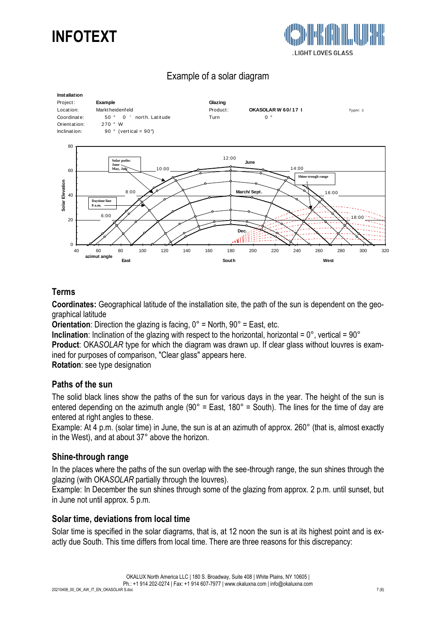

Example of a solar diagram



## **Terms**

**Coordinates:** Geographical latitude of the installation site, the path of the sun is dependent on the geographical latitude

**Orientation**: Direction the glazing is facing,  $0^{\circ}$  = North,  $90^{\circ}$  = East, etc.

**Inclination**: Inclination of the glazing with respect to the horizontal, horizontal =  $0^\circ$ , vertical =  $90^\circ$ **Product**: OKA*SOLAR* type for which the diagram was drawn up. If clear glass without louvres is examined for purposes of comparison, "Clear glass" appears here.

**Rotation**: see type designation

## **Paths of the sun**

The solid black lines show the paths of the sun for various days in the year. The height of the sun is entered depending on the azimuth angle (90° = East, 180° = South). The lines for the time of day are entered at right angles to these.

Example: At 4 p.m. (solar time) in June, the sun is at an azimuth of approx. 260° (that is, almost exactly in the West), and at about 37° above the horizon.

## **Shine-through range**

In the places where the paths of the sun overlap with the see-through range, the sun shines through the glazing (with OKA*SOLAR* partially through the louvres).

Example: In December the sun shines through some of the glazing from approx. 2 p.m. until sunset, but in June not until approx. 5 p.m.

## **Solar time, deviations from local time**

Solar time is specified in the solar diagrams, that is, at 12 noon the sun is at its highest point and is exactly due South. This time differs from local time. There are three reasons for this discrepancy: